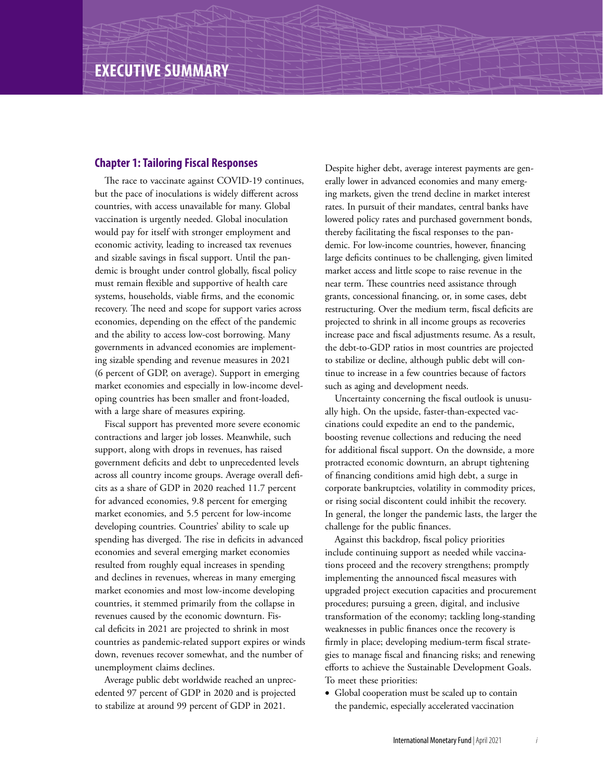## **Chapter 1: Tailoring Fiscal Responses**

The race to vaccinate against COVID-19 continues, but the pace of inoculations is widely different across countries, with access unavailable for many. Global vaccination is urgently needed. Global inoculation would pay for itself with stronger employment and economic activity, leading to increased tax revenues and sizable savings in fiscal support. Until the pandemic is brought under control globally, fiscal policy must remain flexible and supportive of health care systems, households, viable firms, and the economic recovery. The need and scope for support varies across economies, depending on the effect of the pandemic and the ability to access low-cost borrowing. Many governments in advanced economies are implementing sizable spending and revenue measures in 2021 (6 percent of GDP, on average). Support in emerging market economies and especially in low-income developing countries has been smaller and front-loaded, with a large share of measures expiring.

Fiscal support has prevented more severe economic contractions and larger job losses. Meanwhile, such support, along with drops in revenues, has raised government deficits and debt to unprecedented levels across all country income groups. Average overall deficits as a share of GDP in 2020 reached 11.7 percent for advanced economies, 9.8 percent for emerging market economies, and 5.5 percent for low-income developing countries. Countries' ability to scale up spending has diverged. The rise in deficits in advanced economies and several emerging market economies resulted from roughly equal increases in spending and declines in revenues, whereas in many emerging market economies and most low-income developing countries, it stemmed primarily from the collapse in revenues caused by the economic downturn. Fiscal deficits in 2021 are projected to shrink in most countries as pandemic-related support expires or winds down, revenues recover somewhat, and the number of unemployment claims declines.

Average public debt worldwide reached an unprecedented 97 percent of GDP in 2020 and is projected to stabilize at around 99 percent of GDP in 2021.

Despite higher debt, average interest payments are generally lower in advanced economies and many emerging markets, given the trend decline in market interest rates. In pursuit of their mandates, central banks have lowered policy rates and purchased government bonds, thereby facilitating the fiscal responses to the pandemic. For low-income countries, however, financing large deficits continues to be challenging, given limited market access and little scope to raise revenue in the near term. These countries need assistance through grants, concessional financing, or, in some cases, debt restructuring. Over the medium term, fiscal deficits are projected to shrink in all income groups as recoveries increase pace and fiscal adjustments resume. As a result, the debt-to-GDP ratios in most countries are projected to stabilize or decline, although public debt will continue to increase in a few countries because of factors such as aging and development needs.

Uncertainty concerning the fiscal outlook is unusually high. On the upside, faster-than-expected vaccinations could expedite an end to the pandemic, boosting revenue collections and reducing the need for additional fiscal support. On the downside, a more protracted economic downturn, an abrupt tightening of financing conditions amid high debt, a surge in corporate bankruptcies, volatility in commodity prices, or rising social discontent could inhibit the recovery. In general, the longer the pandemic lasts, the larger the challenge for the public finances.

Against this backdrop, fiscal policy priorities include continuing support as needed while vaccinations proceed and the recovery strengthens; promptly implementing the announced fiscal measures with upgraded project execution capacities and procurement procedures; pursuing a green, digital, and inclusive transformation of the economy; tackling long-standing weaknesses in public finances once the recovery is firmly in place; developing medium-term fiscal strategies to manage fiscal and financing risks; and renewing efforts to achieve the Sustainable Development Goals. To meet these priorities:

• Global cooperation must be scaled up to contain the pandemic, especially accelerated vaccination